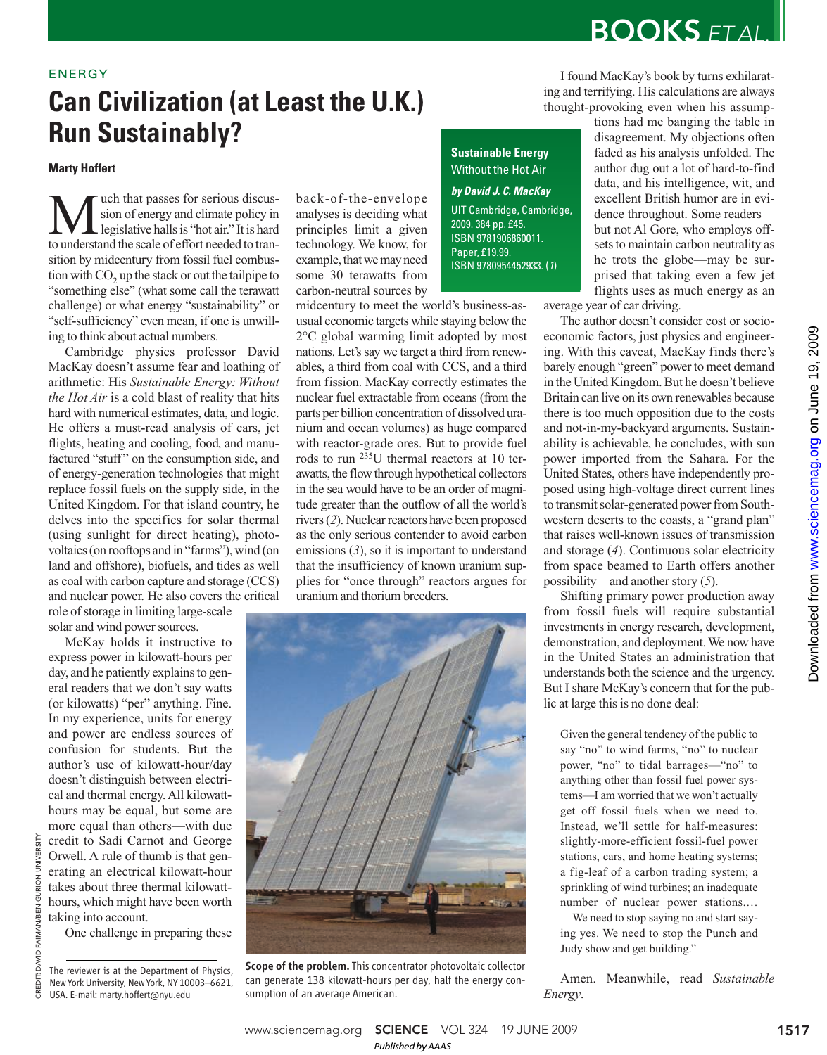# **BOOKS FTALL**

I found MacKay's book by turns exhilarating and terrifying. His calculations are always

## ENERGY

## **Can Civilization (at Least the U.K.) Run Sustainably?**

## **Marty Hoffert**

**M** uch that passes for serious discus-<br>legislative halls is "hot air." It is hard<br>to understand the scale of effort needed to tranuch that passes for serious discussion of energy and climate policy in legislative halls is "hot air." It is hard sition by midcentury from fossil fuel combustion with  $CO_2$  up the stack or out the tailpipe to "something else" (what some call the terawatt challenge) or what energy "sustainability" or "self-sufficiency" even mean, if one is unwilling to think about actual numbers.

Cambridge physics professor David MacKay doesn't assume fear and loathing of arithmetic: His *Sustainable Energy: Without the Hot Air* is a cold blast of reality that hits hard with numerical estimates, data, and logic. He offers a must-read analysis of cars, jet flights, heating and cooling, food, and manufactured "stuff" on the consumption side, and of energy-generation technologies that might replace fossil fuels on the supply side, in the United Kingdom. For that island country, he delves into the specifics for solar thermal (using sunlight for direct heating), photovoltaics (on rooftops and in "farms"), wind (on land and offshore), biofuels, and tides as well as coal with carbon capture and storage (CCS) and nuclear power. He also covers the critical role of storage in limiting large-scale

solar and wind power sources.

McKay holds it instructive to express power in kilowatt-hours per day, and he patiently explains to general readers that we don't say watts (or kilowatts) "per" anything. Fine. In my experience, units for energy and power are endless sources of confusion for students. But the author's use of kilowatt-hour/day doesn't distinguish between electrical and thermal energy. All kilowatthours may be equal, but some are more equal than others—with due credit to Sadi Carnot and George Orwell. A rule of thumb is that generating an electrical kilowatt-hour takes about three thermal kilowatthours, which might have been worth taking into account.

One challenge in preparing these

CREDIT: DAVID FAIMAN/BEN-GURION UNIVERSITY

CREDIT: DAVID FAIMAN/BEN-GURION UNIVERSITY

back-of-the-envelope analyses is deciding what principles limit a given technology. We know, for example, that we may need some 30 terawatts from carbon-neutral sources by

midcentury to meet the world's business-asusual economic targets while staying below the 2°C global warming limit adopted by most nations. Let's say we target a third from renewables, a third from coal with CCS, and a third from fission. MacKay correctly estimates the nuclear fuel extractable from oceans (from the parts per billion concentration of dissolved uranium and ocean volumes) as huge compared with reactor-grade ores. But to provide fuel rods to run 235U thermal reactors at 10 terawatts, the flow through hypothetical collectors in the sea would have to be an order of magnitude greater than the outflow of all the world's rivers (*2*). Nuclear reactors have been proposed as the only serious contender to avoid carbon emissions (*3*), so it is important to understand that the insufficiency of known uranium supplies for "once through" reactors argues for

**Sustainable Energy** Without the Hot Air **by David J. C. MacKay**

UIT Cambridge, Cambridge, 2009. 384 pp. £45. ISBN 9781906860011. Paper, £19.99. ISBN 9780954452933. (1)

thought-provoking even when his assumptions had me banging the table in disagreement. My objections often faded as his analysis unfolded. The author dug out a lot of hard-to-find data, and his intelligence, wit, and excellent British humor are in evidence throughout. Some readers but not Al Gore, who employs offsets to maintain carbon neutrality as he trots the globe—may be surprised that taking even a few jet flights uses as much energy as an

average year of car driving.

The author doesn't consider cost or socioeconomic factors, just physics and engineering. With this caveat, MacKay finds there's barely enough "green" power to meet demand in the United Kingdom. But he doesn't believe Britain can live on its own renewables because there is too much opposition due to the costs and not-in-my-backyard arguments. Sustainability is achievable, he concludes, with sun power imported from the Sahara. For the United States, others have independently proposed using high-voltage direct current lines to transmit solar-generated power from Southwestern deserts to the coasts, a "grand plan" that raises well-known issues of transmission and storage (*4*). Continuous solar electricity from space beamed to Earth offers another possibility—and another story (*5*).

Shifting primary power production away from fossil fuels will require substantial investments in energy research, development, demonstration, and deployment. We now have in the United States an administration that understands both the science and the urgency. But I share McKay's concern that for the public at large this is no done deal:

Given the general tendency of the public to say "no" to wind farms, "no" to nuclear power, "no" to tidal barrages—"no" to anything other than fossil fuel power systems—I am worried that we won't actually get off fossil fuels when we need to. Instead, we'll settle for half-measures: slightly-more-efficient fossil-fuel power stations, cars, and home heating systems; a fig-leaf of a carbon trading system; a sprinkling of wind turbines; an inadequate number of nuclear power stations.…

We need to stop saying no and start saying yes. We need to stop the Punch and Judy show and get building."

Amen. Meanwhile, read *Sustainable Energy*.



uranium and thorium breeders.

Scope of the problem. This concentrator photovoltaic collector can generate 138 kilowatt-hours per day, half the energy consumption of an average American.

The reviewer is at the Department of Physics, New York University, New York, NY 10003–6621, USA. E-mail: marty.hoffert@nyu.edu